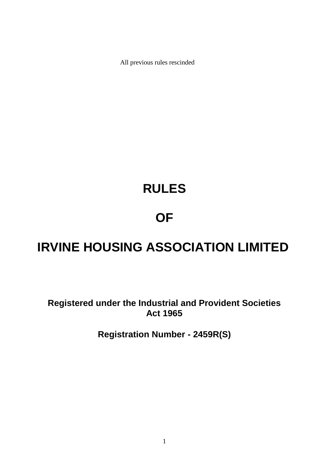All previous rules rescinded

# **RULES**

# **OF**

# **IRVINE HOUSING ASSOCIATION LIMITED**

**Registered under the Industrial and Provident Societies Act 1965**

**Registration Number - 2459R(S)**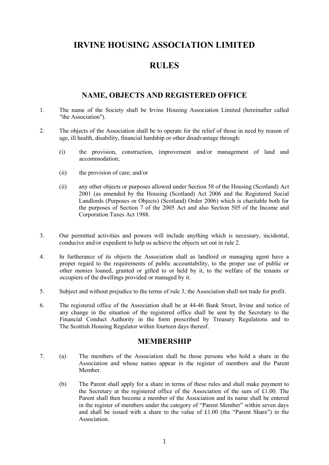## **IRVINE HOUSING ASSOCIATION LIMITED**

# **RULES**

## **NAME, OBJECTS AND REGISTERED OFFICE**

- 1. The name of the Society shall be Irvine Housing Association Limited (hereinafter called "the Association").
- 2. The objects of the Association shall be to operate for the relief of those in need by reason of age, ill health, disability, financial hardship or other disadvantage through:
	- (i) the provision, construction, improvement and/or management of land and accommodation;
	- (ii) the provision of care; and/or
	- (ii) any other objects or purposes allowed under Section 58 of the Housing (Scotland) Act 2001 (as amended by the Housing (Scotland) Act 2006 and the Registered Social Landlords (Purposes or Objects) (Scotland) Order 2006) which is charitable both for the purposes of Section 7 of the 2005 Act and also Section 505 of the Income and Corporation Taxes Act 1988.
- 3. Our permitted activities and powers will include anything which is necessary, incidental, conducive and/or expedient to help us achieve the objects set out in rule 2.
- 4. In furtherance of its objects the Association shall as landlord or managing agent have a proper regard to the requirements of public accountability, to the proper use of public or other monies loaned, granted or gifted to or held by it, to the welfare of the tenants or occupiers of the dwellings provided or managed by it.
- 5. Subject and without prejudice to the terms of rule 3, the Association shall not trade for profit.
- 6. The registered office of the Association shall be at 44-46 Bank Street, Irvine and notice of any change in the situation of the registered office shall be sent by the Secretary to the Financial Conduct Authority in the form prescribed by Treasury Regulations and to The Scottish Housing Regulator within fourteen days thereof.

#### **MEMBERSHIP**

- 7. (a) The members of the Association shall be those persons who hold a share in the Association and whose names appear in the register of members and the Parent Member.
	- (b) The Parent shall apply for a share in terms of these rules and shall make payment to the Secretary at the registered office of the Association of the sum of £1.00. The Parent shall then become a member of the Association and its name shall be entered in the register of members under the category of "Parent Member" within seven days and shall be issued with a share to the value of £1.00 (the "Parent Share") in the **Association**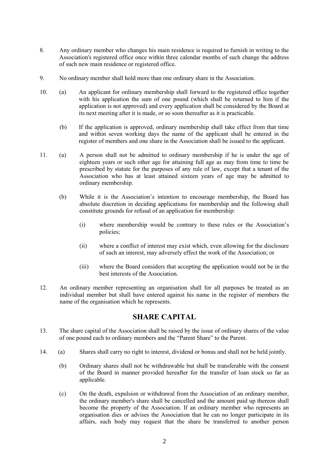- 8. Any ordinary member who changes his main residence is required to furnish in writing to the Association's registered office once within three calendar months of such change the address of such new main residence or registered office.
- 9. No ordinary member shall hold more than one ordinary share in the Association.
- 10. (a) An applicant for ordinary membership shall forward to the registered office together with his application the sum of one pound (which shall be returned to him if the application is not approved) and every application shall be considered by the Board at its next meeting after it is made, or so soon thereafter as it is practicable.
	- (b) If the application is approved, ordinary membership shall take effect from that time and within seven working days the name of the applicant shall be entered in the register of members and one share in the Association shall be issued to the applicant.
- 11. (a) A person shall not be admitted to ordinary membership if he is under the age of eighteen years or such other age for attaining full age as may from time to time be prescribed by statute for the purposes of any rule of law, except that a tenant of the Association who has at least attained sixteen years of age may be admitted to ordinary membership.
	- (b) While it is the Association's intention to encourage membership, the Board has absolute discretion in deciding applications for membership and the following shall constitute grounds for refusal of an application for membership:
		- (i) where membership would be contrary to these rules or the Association's policies;
		- (ii) where a conflict of interest may exist which, even allowing for the disclosure of such an interest, may adversely effect the work of the Association; or
		- (iii) where the Board considers that accepting the application would not be in the best interests of the Association.
- 12. An ordinary member representing an organisation shall for all purposes be treated as an individual member but shall have entered against his name in the register of members the name of the organisation which he represents.

## **SHARE CAPITAL**

- 13. The share capital of the Association shall be raised by the issue of ordinary shares of the value of one pound each to ordinary members and the "Parent Share" to the Parent.
- 14. (a) Shares shall carry no right to interest, dividend or bonus and shall not be held jointly.
	- (b) Ordinary shares shall not be withdrawable but shall be transferable with the consent of the Board in manner provided hereafter for the transfer of loan stock so far as applicable.
	- (c) On the death, expulsion or withdrawal from the Association of an ordinary member, the ordinary member's share shall be cancelled and the amount paid up thereon shall become the property of the Association. If an ordinary member who represents an organisation dies or advises the Association that he can no longer participate in its affairs, such body may request that the share be transferred to another person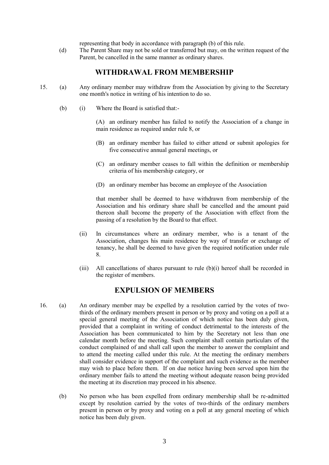representing that body in accordance with paragraph (b) of this rule.

(d) The Parent Share may not be sold or transferred but may, on the written request of the Parent, be cancelled in the same manner as ordinary shares.

#### **WITHDRAWAL FROM MEMBERSHIP**

- 15. (a) Any ordinary member may withdraw from the Association by giving to the Secretary one month's notice in writing of his intention to do so.
	- (b) (i) Where the Board is satisfied that:-

(A) an ordinary member has failed to notify the Association of a change in main residence as required under rule 8, or

- (B) an ordinary member has failed to either attend or submit apologies for five consecutive annual general meetings, or
- (C) an ordinary member ceases to fall within the definition or membership criteria of his membership category, or
- (D) an ordinary member has become an employee of the Association

that member shall be deemed to have withdrawn from membership of the Association and his ordinary share shall be cancelled and the amount paid thereon shall become the property of the Association with effect from the passing of a resolution by the Board to that effect.

- (ii) In circumstances where an ordinary member, who is a tenant of the Association, changes his main residence by way of transfer or exchange of tenancy, he shall be deemed to have given the required notification under rule 8.
- (iii) All cancellations of shares pursuant to rule (b)(i) hereof shall be recorded in the register of members.

#### **EXPULSION OF MEMBERS**

- 16. (a) An ordinary member may be expelled by a resolution carried by the votes of twothirds of the ordinary members present in person or by proxy and voting on a poll at a special general meeting of the Association of which notice has been duly given, provided that a complaint in writing of conduct detrimental to the interests of the Association has been communicated to him by the Secretary not less than one calendar month before the meeting. Such complaint shall contain particulars of the conduct complained of and shall call upon the member to answer the complaint and to attend the meeting called under this rule. At the meeting the ordinary members shall consider evidence in support of the complaint and such evidence as the member may wish to place before them. If on due notice having been served upon him the ordinary member fails to attend the meeting without adequate reason being provided the meeting at its discretion may proceed in his absence.
	- (b) No person who has been expelled from ordinary membership shall be re-admitted except by resolution carried by the votes of two-thirds of the ordinary members present in person or by proxy and voting on a poll at any general meeting of which notice has been duly given.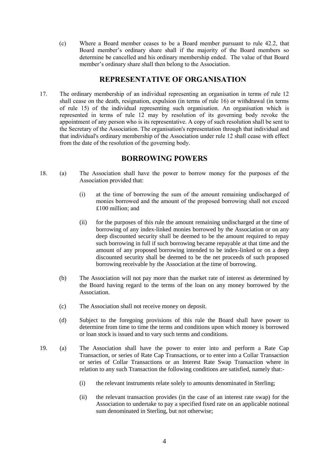(c) Where a Board member ceases to be a Board member pursuant to rule 42.2, that Board member's ordinary share shall if the majority of the Board members so determine be cancelled and his ordinary membership ended. The value of that Board member's ordinary share shall then belong to the Association.

## **REPRESENTATIVE OF ORGANISATION**

17. The ordinary membership of an individual representing an organisation in terms of rule 12 shall cease on the death, resignation, expulsion (in terms of rule 16) or withdrawal (in terms of rule 15) of the individual representing such organisation. An organisation which is represented in terms of rule 12 may by resolution of its governing body revoke the appointment of any person who is its representative. A copy of such resolution shall be sent to the Secretary of the Association. The organisation's representation through that individual and that individual's ordinary membership of the Association under rule 12 shall cease with effect from the date of the resolution of the governing body.

## **BORROWING POWERS**

- 18. (a) The Association shall have the power to borrow money for the purposes of the Association provided that:
	- (i) at the time of borrowing the sum of the amount remaining undischarged of monies borrowed and the amount of the proposed borrowing shall not exceed £100 million; and
	- (ii) for the purposes of this rule the amount remaining undischarged at the time of borrowing of any index-linked monies borrowed by the Association or on any deep discounted security shall be deemed to be the amount required to repay such borrowing in full if such borrowing became repayable at that time and the amount of any proposed borrowing intended to be index-linked or on a deep discounted security shall be deemed to be the net proceeds of such proposed borrowing receivable by the Association at the time of borrowing.
	- (b) The Association will not pay more than the market rate of interest as determined by the Board having regard to the terms of the loan on any money borrowed by the Association.
	- (c) The Association shall not receive money on deposit.
	- (d) Subject to the foregoing provisions of this rule the Board shall have power to determine from time to time the terms and conditions upon which money is borrowed or loan stock is issued and to vary such terms and conditions.
- 19. (a) The Association shall have the power to enter into and perform a Rate Cap Transaction, or series of Rate Cap Transactions, or to enter into a Collar Transaction or series of Collar Transactions or an Interest Rate Swap Transaction where in relation to any such Transaction the following conditions are satisfied, namely that:-
	- (i) the relevant instruments relate solely to amounts denominated in Sterling;
	- (ii) the relevant transaction provides (in the case of an interest rate swap) for the Association to undertake to pay a specified fixed rate on an applicable notional sum denominated in Sterling, but not otherwise;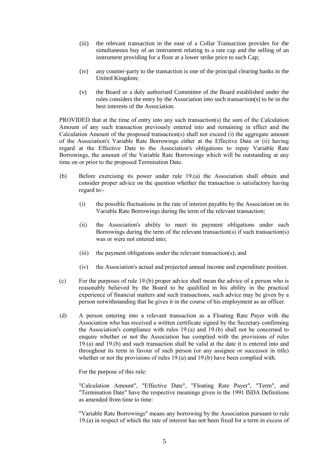- (iii) the relevant transaction in the ease of a Collar Transaction provides for the simultaneous buy of an instrument relating to a rate cap and the selling of an instrument providing for a floor at a lower strike price to such Cap;
- (iv) any counter-party to the transaction is one of the principal clearing banks in the United Kingdom;
- (v) the Board or a duly authorised Committee of the Board established under the rules considers the entry by the Association into such transaction(s) to be in the best interests of the Association.

PROVIDED that at the time of entry into any such transaction(s) the sum of the Calculation Amount of any such transaction previously entered into and remaining in effect and the Calculation Amount of the proposed transaction(s) shall not exceed (i) the aggregate amount of the Association's Variable Rate Borrowings either at the Effective Date or (ii) having regard at the Effective Date to the Association's obligations to repay Variable Rate Borrowings, the amount of the Variable Rate Borrowings which will be outstanding at any time on or prior to the proposed Termination Date.

- (b) Before exercising its power under rule 19.(a) the Association shall obtain and consider proper advice on the question whether the transaction is satisfactory having regard to:-
	- (i) the possible fluctuations in the rate of interest payable by the Association on its Variable Rate Borrowings during the term of the relevant transaction;
	- (ii) the Association's ability to meet its payment obligations under such Borrowings during the term of the relevant transaction(s) if such transaction(s) was or were not entered into;
	- (iii) the payment obligations under the relevant transaction(s); and
	- (iv) the Association's actual and projected annual income and expenditure position.
- (c) For the purposes of rule 19.(b) proper advice shall mean the advice of a person who is reasonably believed by the Board to be qualified in his ability in the practical experience of financial matters and such transactions, such advice may be given by a person notwithstanding that he gives it in the course of his employment as an officer.
- (d) A person entering into a relevant transaction as a Floating Rate Payer with the Association who has received a written certificate signed by the Secretary confirming the Association's compliance with rules 19.(a) and 19.(b) shall not be concerned to enquire whether or not the Association has complied with the provisions of rules 19.(a) and 19.(b) and such transaction shall be valid at the date it is entered into and throughout its term in favour of such person (or any assignee or successor in title) whether or not the provisions of rules 19.(a) and 19.(b) have been complied with.

For the purpose of this rule:

"Calculation Amount", "Effective Date", "Floating Rate Payer", "Term", and "Termination Date" have the respective meanings given in the 1991 ISDA Definitions as amended from time to time:

"Variable Rate Borrowings" means any borrowing by the Association pursuant to rule 19.(a) in respect of which the rate of interest has not been fixed for a term in excess of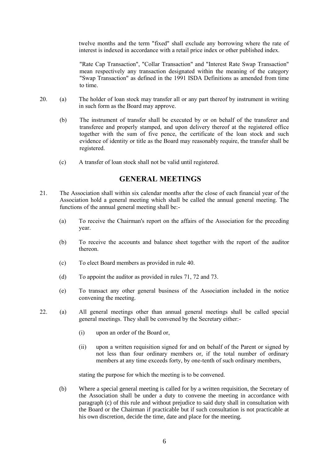twelve months and the term "fixed" shall exclude any borrowing where the rate of interest is indexed in accordance with a retail price index or other published index.

"Rate Cap Transaction", "Collar Transaction" and "Interest Rate Swap Transaction" mean respectively any transaction designated within the meaning of the category "Swap Transaction" as defined in the 1991 ISDA Definitions as amended from time to time.

- 20. (a) The holder of loan stock may transfer all or any part thereof by instrument in writing in such form as the Board may approve.
	- (b) The instrument of transfer shall be executed by or on behalf of the transferer and transferee and properly stamped, and upon delivery thereof at the registered office together with the sum of five pence, the certificate of the loan stock and such evidence of identity or title as the Board may reasonably require, the transfer shall be registered.
	- (c) A transfer of loan stock shall not be valid until registered.

## **GENERAL MEETINGS**

- 21. The Association shall within six calendar months after the close of each financial year of the Association hold a general meeting which shall be called the annual general meeting. The functions of the annual general meeting shall be:-
	- (a) To receive the Chairman's report on the affairs of the Association for the preceding year.
	- (b) To receive the accounts and balance sheet together with the report of the auditor thereon.
	- (c) To elect Board members as provided in rule 40.
	- (d) To appoint the auditor as provided in rules 71, 72 and 73.
	- (e) To transact any other general business of the Association included in the notice convening the meeting.
- 22. (a) All general meetings other than annual general meetings shall be called special general meetings. They shall be convened by the Secretary either:-
	- (i) upon an order of the Board or,
	- (ii) upon a written requisition signed for and on behalf of the Parent or signed by not less than four ordinary members or, if the total number of ordinary members at any time exceeds forty, by one-tenth of such ordinary members,

stating the purpose for which the meeting is to be convened.

(b) Where a special general meeting is called for by a written requisition, the Secretary of the Association shall be under a duty to convene the meeting in accordance with paragraph (c) of this rule and without prejudice to said duty shall in consultation with the Board or the Chairman if practicable but if such consultation is not practicable at his own discretion, decide the time, date and place for the meeting.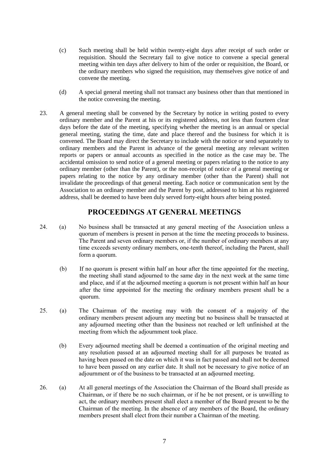- (c) Such meeting shall be held within twenty-eight days after receipt of such order or requisition. Should the Secretary fail to give notice to convene a special general meeting within ten days after delivery to him of the order or requisition, the Board, or the ordinary members who signed the requisition, may themselves give notice of and convene the meeting.
- (d) A special general meeting shall not transact any business other than that mentioned in the notice convening the meeting.
- 23. A general meeting shall be convened by the Secretary by notice in writing posted to every ordinary member and the Parent at his or its registered address, not less than fourteen clear days before the date of the meeting, specifying whether the meeting is an annual or special general meeting, stating the time, date and place thereof and the business for which it is convened. The Board may direct the Secretary to include with the notice or send separately to ordinary members and the Parent in advance of the general meeting any relevant written reports or papers or annual accounts as specified in the notice as the case may be. The accidental omission to send notice of a general meeting or papers relating to the notice to any ordinary member (other than the Parent), or the non-receipt of notice of a general meeting or papers relating to the notice by any ordinary member (other than the Parent) shall not invalidate the proceedings of that general meeting. Each notice or communication sent by the Association to an ordinary member and the Parent by post, addressed to him at his registered address, shall be deemed to have been duly served forty-eight hours after being posted.

## **PROCEEDINGS AT GENERAL MEETINGS**

- 24. (a) No business shall be transacted at any general meeting of the Association unless a quorum of members is present in person at the time the meeting proceeds to business. The Parent and seven ordinary members or, if the number of ordinary members at any time exceeds seventy ordinary members, one-tenth thereof, including the Parent, shall form a quorum.
	- (b) If no quorum is present within half an hour after the time appointed for the meeting, the meeting shall stand adjourned to the same day in the next week at the same time and place, and if at the adjourned meeting a quorum is not present within half an hour after the time appointed for the meeting the ordinary members present shall be a quorum.
- 25. (a) The Chairman of the meeting may with the consent of a majority of the ordinary members present adjourn any meeting but no business shall be transacted at any adjourned meeting other than the business not reached or left unfinished at the meeting from which the adjournment took place.
	- (b) Every adjourned meeting shall be deemed a continuation of the original meeting and any resolution passed at an adjourned meeting shall for all purposes be treated as having been passed on the date on which it was in fact passed and shall not be deemed to have been passed on any earlier date. It shall not be necessary to give notice of an adjournment or of the business to be transacted at an adjourned meeting.
- 26. (a) At all general meetings of the Association the Chairman of the Board shall preside as Chairman, or if there be no such chairman, or if he be not present, or is unwilling to act, the ordinary members present shall elect a member of the Board present to be the Chairman of the meeting. In the absence of any members of the Board, the ordinary members present shall elect from their number a Chairman of the meeting.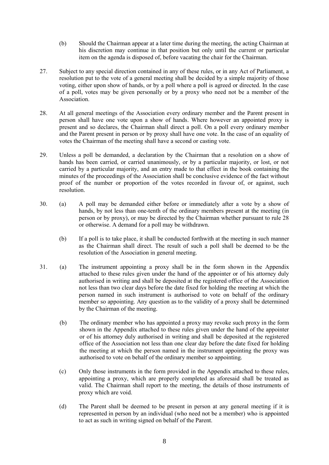- (b) Should the Chairman appear at a later time during the meeting, the acting Chairman at his discretion may continue in that position but only until the current or particular item on the agenda is disposed of, before vacating the chair for the Chairman.
- 27. Subject to any special direction contained in any of these rules, or in any Act of Parliament, a resolution put to the vote of a general meeting shall be decided by a simple majority of those voting, either upon show of hands, or by a poll where a poll is agreed or directed. In the case of a poll, votes may be given personally or by a proxy who need not be a member of the Association.
- 28. At all general meetings of the Association every ordinary member and the Parent present in person shall have one vote upon a show of hands. Where however an appointed proxy is present and so declares, the Chairman shall direct a poll. On a poll every ordinary member and the Parent present in person or by proxy shall have one vote. In the case of an equality of votes the Chairman of the meeting shall have a second or casting vote.
- 29. Unless a poll be demanded, a declaration by the Chairman that a resolution on a show of hands has been carried, or carried unanimously, or by a particular majority, or lost, or not carried by a particular majority, and an entry made to that effect in the book containing the minutes of the proceedings of the Association shall be conclusive evidence of the fact without proof of the number or proportion of the votes recorded in favour of, or against, such resolution.
- 30. (a) A poll may be demanded either before or immediately after a vote by a show of hands, by not less than one-tenth of the ordinary members present at the meeting (in person or by proxy), or may be directed by the Chairman whether pursuant to rule 28 or otherwise. A demand for a poll may be withdrawn.
	- (b) If a poll is to take place, it shall be conducted forthwith at the meeting in such manner as the Chairman shall direct. The result of such a poll shall be deemed to be the resolution of the Association in general meeting.
- 31. (a) The instrument appointing a proxy shall be in the form shown in the Appendix attached to these rules given under the hand of the appointer or of his attorney duly authorised in writing and shall be deposited at the registered office of the Association not less than two clear days before the date fixed for holding the meeting at which the person named in such instrument is authorised to vote on behalf of the ordinary member so appointing. Any question as to the validity of a proxy shall be determined by the Chairman of the meeting.
	- (b) The ordinary member who has appointed a proxy may revoke such proxy in the form shown in the Appendix attached to these rules given under the hand of the appointer or of his attorney duly authorised in writing and shall be deposited at the registered office of the Association not less than one clear day before the date fixed for holding the meeting at which the person named in the instrument appointing the proxy was authorised to vote on behalf of the ordinary member so appointing.
	- (c) Only those instruments in the form provided in the Appendix attached to these rules, appointing a proxy, which are properly completed as aforesaid shall be treated as valid. The Chairman shall report to the meeting, the details of those instruments of proxy which are void.
	- (d) The Parent shall be deemed to be present in person at any general meeting if it is represented in person by an individual (who need not be a member) who is appointed to act as such in writing signed on behalf of the Parent.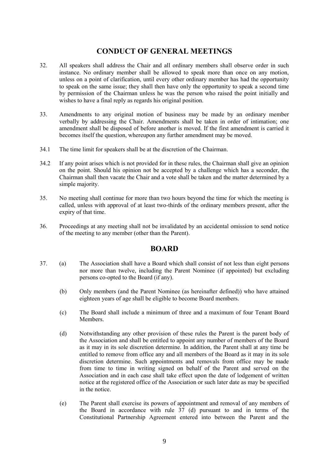## **CONDUCT OF GENERAL MEETINGS**

- 32. All speakers shall address the Chair and all ordinary members shall observe order in such instance. No ordinary member shall be allowed to speak more than once on any motion, unless on a point of clarification, until every other ordinary member has had the opportunity to speak on the same issue; they shall then have only the opportunity to speak a second time by permission of the Chairman unless he was the person who raised the point initially and wishes to have a final reply as regards his original position.
- 33. Amendments to any original motion of business may be made by an ordinary member verbally by addressing the Chair. Amendments shall be taken in order of intimation; one amendment shall be disposed of before another is moved. If the first amendment is carried it becomes itself the question, whereupon any further amendment may be moved.
- 34.1 The time limit for speakers shall be at the discretion of the Chairman.
- 34.2 If any point arises which is not provided for in these rules, the Chairman shall give an opinion on the point. Should his opinion not be accepted by a challenge which has a seconder, the Chairman shall then vacate the Chair and a vote shall be taken and the matter determined by a simple majority.
- 35. No meeting shall continue for more than two hours beyond the time for which the meeting is called, unless with approval of at least two-thirds of the ordinary members present, after the expiry of that time.
- 36. Proceedings at any meeting shall not be invalidated by an accidental omission to send notice of the meeting to any member (other than the Parent).

#### **BOARD**

- 37. (a) The Association shall have a Board which shall consist of not less than eight persons nor more than twelve, including the Parent Nominee (if appointed) but excluding persons co-opted to the Board (if any).
	- (b) Only members (and the Parent Nominee (as hereinafter defined)) who have attained eighteen years of age shall be eligible to become Board members.
	- (c) The Board shall include a minimum of three and a maximum of four Tenant Board **Members**
	- (d) Notwithstanding any other provision of these rules the Parent is the parent body of the Association and shall be entitled to appoint any number of members of the Board as it may in its sole discretion determine. In addition, the Parent shall at any time be entitled to remove from office any and all members of the Board as it may in its sole discretion determine. Such appointments and removals from office may be made from time to time in writing signed on behalf of the Parent and served on the Association and in each case shall take effect upon the date of lodgement of written notice at the registered office of the Association or such later date as may be specified in the notice.
	- (e) The Parent shall exercise its powers of appointment and removal of any members of the Board in accordance with rule 37 (d) pursuant to and in terms of the Constitutional Partnership Agreement entered into between the Parent and the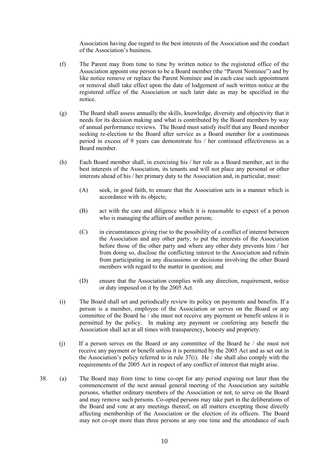Association having due regard to the best interests of the Association and the conduct of the Association's business.

- (f) The Parent may from time to time by written notice to the registered office of the Association appoint one person to be a Board member (the "Parent Nominee") and by like notice remove or replace the Parent Nominee and in each case such appointment or removal shall take effect upon the date of lodgement of such written notice at the registered office of the Association or such later date as may be specified in the notice.
- (g) The Board shall assess annually the skills, knowledge, diversity and objectivity that it needs for its decision making and what is contributed by the Board members by way of annual performance reviews. The Board must satisfy itself that any Board member seeking re-election to the Board after service as a Board member for a continuous period in excess of 9 years can demonstrate his / her continued effectiveness as a Board member.
- (h) Each Board member shall, in exercising his / her role as a Board member, act in the best interests of the Association, its tenants and will not place any personal or other interests ahead of his / her primary duty to the Association and, in particular, must:
	- (A) seek, in good faith, to ensure that the Association acts in a manner which is accordance with its objects;
	- (B) act with the care and diligence which it is reasonable to expect of a person who is managing the affairs of another person;
	- (C) in circumstances giving rise to the possibility of a conflict of interest between the Association and any other party, to put the interests of the Association before those of the other party and where any other duty prevents him / her from doing so, disclose the conflicting interest to the Association and refrain from participating in any discussions or decisions involving the other Board members with regard to the matter in question; and
	- (D) ensure that the Association complies with any direction, requirement, notice or duty imposed on it by the 2005 Act.
- (i) The Board shall set and periodically review its policy on payments and benefits. If a person is a member, employee of the Association or serves on the Board or any committee of the Board he / she must not receive any payment or benefit unless it is permitted by the policy. In making any payment or conferring any benefit the Association shall act at all times with transparency, honesty and propriety.
- (j) If a person serves on the Board or any committee of the Board he / she must not receive any payment or benefit unless it is permitted by the 2005 Act and as set out in the Association's policy referred to in rule 37(i). He / she shall also comply with the requirements of the 2005 Act in respect of any conflict of interest that might arise.
- 38. (a) The Board may from time to time co-opt for any period expiring not later than the commencement of the next annual general meeting of the Association any suitable persons, whether ordinary members of the Association or not, to serve on the Board and may remove such persons. Co-opted persons may take part in the deliberations of the Board and vote at any meetings thereof, on all matters excepting those directly affecting membership of the Association or the election of its officers. The Board may not co-opt more than three persons at any one time and the attendance of such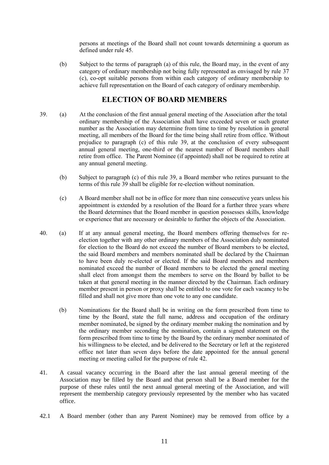persons at meetings of the Board shall not count towards determining a quorum as defined under rule 45.

(b) Subject to the terms of paragraph (a) of this rule, the Board may, in the event of any category of ordinary membership not being fully represented as envisaged by rule 37 (c), co-opt suitable persons from within each category of ordinary membership to achieve full representation on the Board of each category of ordinary membership.

#### **ELECTION OF BOARD MEMBERS**

- 39. (a) At the conclusion of the first annual general meeting of the Association after the total ordinary membership of the Association shall have exceeded seven or such greater number as the Association may determine from time to time by resolution in general meeting, all members of the Board for the time being shall retire from office. Without prejudice to paragraph (c) of this rule 39, at the conclusion of every subsequent annual general meeting, one-third or the nearest number of Board members shall retire from office. The Parent Nominee (if appointed) shall not be required to retire at any annual general meeting.
	- (b) Subject to paragraph (c) of this rule 39, a Board member who retires pursuant to the terms of this rule 39 shall be eligible for re-election without nomination.
	- (c) A Board member shall not be in office for more than nine consecutive years unless his appointment is extended by a resolution of the Board for a further three years where the Board determines that the Board member in question possesses skills, knowledge or experience that are necessary or desirable to further the objects of the Association.
- 40. (a) If at any annual general meeting, the Board members offering themselves for reelection together with any other ordinary members of the Association duly nominated for election to the Board do not exceed the number of Board members to be elected, the said Board members and members nominated shall be declared by the Chairman to have been duly re-elected or elected. If the said Board members and members nominated exceed the number of Board members to be elected the general meeting shall elect from amongst them the members to serve on the Board by ballot to be taken at that general meeting in the manner directed by the Chairman. Each ordinary member present in person or proxy shall be entitled to one vote for each vacancy to be filled and shall not give more than one vote to any one candidate.
	- (b) Nominations for the Board shall be in writing on the form prescribed from time to time by the Board, state the full name, address and occupation of the ordinary member nominated, be signed by the ordinary member making the nomination and by the ordinary member seconding the nomination, contain a signed statement on the form prescribed from time to time by the Board by the ordinary member nominated of his willingness to be elected, and be delivered to the Secretary or left at the registered office not later than seven days before the date appointed for the annual general meeting or meeting called for the purpose of rule 42.
- 41. A casual vacancy occurring in the Board after the last annual general meeting of the Association may be filled by the Board and that person shall be a Board member for the purpose of these rules until the next annual general meeting of the Association, and will represent the membership category previously represented by the member who has vacated office.
- 42.1 A Board member (other than any Parent Nominee) may be removed from office by a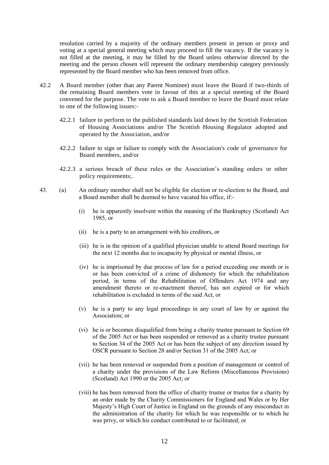resolution carried by a majority of the ordinary members present in person or proxy and voting at a special general meeting which may proceed to fill the vacancy. If the vacancy is not filled at the meeting, it may be filled by the Board unless otherwise directed by the meeting and the person chosen will represent the ordinary membership category previously represented by the Board member who has been removed from office.

- 42.2 A Board member (other than any Parent Nominee) must leave the Board if two-thirds of the remaining Board members vote in favour of this at a special meeting of the Board convened for the purpose. The vote to ask a Board member to leave the Board must relate to one of the following issues:-
	- 42.2.1 failure to perform to the published standards laid down by the Scottish Federation of Housing Associations and/or The Scottish Housing Regulator adopted and operated by the Association, and/or
	- 42.2.2 failure to sign or failure to comply with the Association's code of governance for Board members, and/or
	- 42.2.3 a serious breach of these rules or the Association's standing orders or other policy requirements;.
- 43. (a) An ordinary member shall not be eligible for election or re-election to the Board, and a Board member shall be deemed to have vacated his office, if:-
	- (i) he is apparently insolvent within the meaning of the Bankruptcy (Scotland) Act 1985, or
	- (ii) he is a party to an arrangement with his creditors, or
	- (iii) he is in the opinion of a qualified physician unable to attend Board meetings for the next 12 months due to incapacity by physical or mental illness, or
	- (iv) he is imprisoned by due process of law for a period exceeding one month or is or has been convicted of a crime of dishonesty for which the rehabilitation period, in terms of the Rehabilitation of Offenders Act 1974 and any amendment thereto or re-enactment thereof, has not expired or for which rehabilitation is excluded in terms of the said Act, or
	- (v) he is a party to any legal proceedings in any court of law by or against the Association; or
	- (vi) he is or becomes disqualified from being a charity trustee pursuant to Section 69 of the 2005 Act or has been suspended or removed as a charity trustee pursuant to Section 34 of the 2005 Act or has been the subject of any direction issued by OSCR pursuant to Section 28 and/or Section 31 of the 2005 Act; or
	- (vii) he has been removed or suspended from a position of management or control of a charity under the provisions of the Law Reform (Miscellaneous Provisions) (Scotland) Act 1990 or the 2005 Act; or
	- (viii) he has been removed from the office of charity trustee or trustee for a charity by an order made by the Charity Commissioners for England and Wales or by Her Majesty's High Court of Justice in England on the grounds of any misconduct in the administration of the charity for which he was responsible or to which he was privy, or which his conduct contributed to or facilitated; or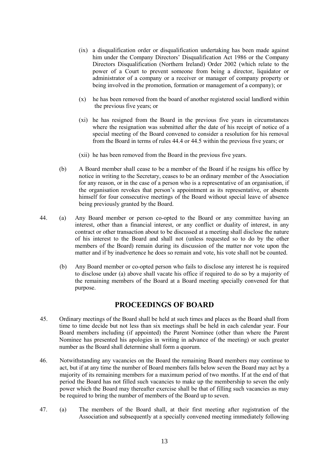- (ix) a disqualification order or disqualification undertaking has been made against him under the Company Directors' Disqualification Act 1986 or the Company Directors Disqualification (Northern Ireland) Order 2002 (which relate to the power of a Court to prevent someone from being a director, liquidator or administrator of a company or a receiver or manager of company property or being involved in the promotion, formation or management of a company); or
- (x) he has been removed from the board of another registered social landlord within the previous five years; or
- (xi) he has resigned from the Board in the previous five years in circumstances where the resignation was submitted after the date of his receipt of notice of a special meeting of the Board convened to consider a resolution for his removal from the Board in terms of rules 44.4 or 44.5 within the previous five years; or
- (xii) he has been removed from the Board in the previous five years.
- (b) A Board member shall cease to be a member of the Board if he resigns his office by notice in writing to the Secretary, ceases to be an ordinary member of the Association for any reason, or in the case of a person who is a representative of an organisation, if the organisation revokes that person's appointment as its representative, or absents himself for four consecutive meetings of the Board without special leave of absence being previously granted by the Board.
- 44. (a) Any Board member or person co-opted to the Board or any committee having an interest, other than a financial interest, or any conflict or duality of interest, in any contract or other transaction about to be discussed at a meeting shall disclose the nature of his interest to the Board and shall not (unless requested so to do by the other members of the Board) remain during its discussion of the matter nor vote upon the matter and if by inadvertence he does so remain and vote, his vote shall not be counted.
	- (b) Any Board member or co-opted person who fails to disclose any interest he is required to disclose under (a) above shall vacate his office if required to do so by a majority of the remaining members of the Board at a Board meeting specially convened for that purpose.

#### **PROCEEDINGS OF BOARD**

- 45. Ordinary meetings of the Board shall be held at such times and places as the Board shall from time to time decide but not less than six meetings shall be held in each calendar year. Four Board members including (if appointed) the Parent Nominee (other than where the Parent Nominee has presented his apologies in writing in advance of the meeting) or such greater number as the Board shall determine shall form a quorum.
- 46. Notwithstanding any vacancies on the Board the remaining Board members may continue to act, but if at any time the number of Board members falls below seven the Board may act by a majority of its remaining members for a maximum period of two months. If at the end of that period the Board has not filled such vacancies to make up the membership to seven the only power which the Board may thereafter exercise shall be that of filling such vacancies as may be required to bring the number of members of the Board up to seven.
- 47. (a) The members of the Board shall, at their first meeting after registration of the Association and subsequently at a specially convened meeting immediately following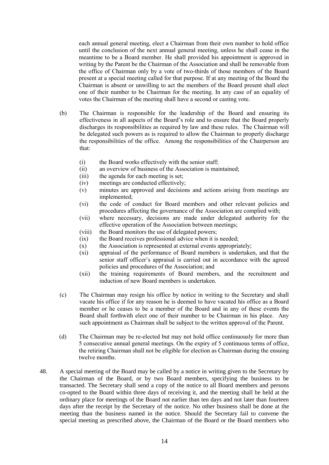each annual general meeting, elect a Chairman from their own number to hold office until the conclusion of the next annual general meeting, unless he shall cease in the meantime to be a Board member. He shall provided his appointment is approved in writing by the Parent be the Chairman of the Association and shall be removable from the office of Chairman only by a vote of two-thirds of those members of the Board present at a special meeting called for that purpose. If at any meeting of the Board the Chairman is absent or unwilling to act the members of the Board present shall elect one of their number to be Chairman for the meeting. In any case of an equality of votes the Chairman of the meeting shall have a second or casting vote.

- (b) The Chairman is responsible for the leadership of the Board and ensuring its effectiveness in all aspects of the Board's role and to ensure that the Board properly discharges its responsibilities as required by law and these rules. The Chairman will be delegated such powers as is required to allow the Chairman to properly discharge the responsibilities of the office. Among the responsibilities of the Chairperson are that:
	- (i) the Board works effectively with the senior staff;
	- (ii) an overview of business of the Association is maintained;
	- (iii) the agenda for each meeting is set;
	- (iv) meetings are conducted effectively;
	- (v) minutes are approved and decisions and actions arising from meetings are implemented;
	- (vi) the code of conduct for Board members and other relevant policies and procedures affecting the governance of the Association are complied with;
	- (vii) where necessary, decisions are made under delegated authority for the effective operation of the Association between meetings;
	- (viii) the Board monitors the use of delegated powers;
	- (ix) the Board receives professional advice when it is needed;
	- $(x)$  the Association is represented at external events appropriately;
	- (xi) appraisal of the performance of Board members is undertaken, and that the senior staff officer's appraisal is carried out in accordance with the agreed policies and procedures of the Association; and
	- (xii) the training requirements of Board members, and the recruitment and induction of new Board members is undertaken.
- (c) The Chairman may resign his office by notice in writing to the Secretary and shall vacate his office if for any reason he is deemed to have vacated his office as a Board member or he ceases to be a member of the Board and in any of these events the Board shall forthwith elect one of their number to be Chairman in his place. Any such appointment as Chairman shall be subject to the written approval of the Parent.
- (d) The Chairman may be re-elected but may not hold office continuously for more than 5 consecutive annual general meetings. On the expiry of 5 continuous terms of office, the retiring Chairman shall not be eligible for election as Chairman during the ensuing twelve months.
- 48. A special meeting of the Board may be called by a notice in writing given to the Secretary by the Chairman of the Board, or by two Board members, specifying the business to be transacted. The Secretary shall send a copy of the notice to all Board members and persons co-opted to the Board within three days of receiving it, and the meeting shall be held at the ordinary place for meetings of the Board not earlier than ten days and not later than fourteen days after the receipt by the Secretary of the notice. No other business shall be done at the meeting than the business named in the notice. Should the Secretary fail to convene the special meeting as prescribed above, the Chairman of the Board or the Board members who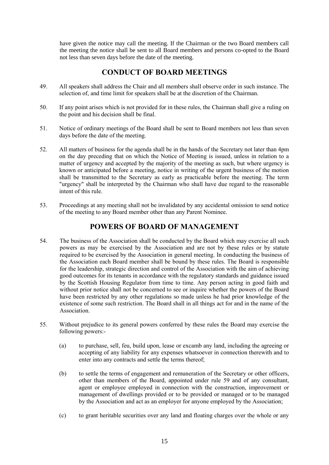have given the notice may call the meeting. If the Chairman or the two Board members call the meeting the notice shall be sent to all Board members and persons co-opted to the Board not less than seven days before the date of the meeting.

## **CONDUCT OF BOARD MEETINGS**

- 49. All speakers shall address the Chair and all members shall observe order in such instance. The selection of, and time limit for speakers shall be at the discretion of the Chairman.
- 50. If any point arises which is not provided for in these rules, the Chairman shall give a ruling on the point and his decision shall be final.
- 51. Notice of ordinary meetings of the Board shall be sent to Board members not less than seven days before the date of the meeting.
- 52. All matters of business for the agenda shall be in the hands of the Secretary not later than 4pm on the day preceding that on which the Notice of Meeting is issued, unless in relation to a matter of urgency and accepted by the majority of the meeting as such, but where urgency is known or anticipated before a meeting, notice in writing of the urgent business of the motion shall be transmitted to the Secretary as early as practicable before the meeting. The term "urgency" shall be interpreted by the Chairman who shall have due regard to the reasonable intent of this rule.
- 53. Proceedings at any meeting shall not be invalidated by any accidental omission to send notice of the meeting to any Board member other than any Parent Nominee.

## **POWERS OF BOARD OF MANAGEMENT**

- 54. The business of the Association shall be conducted by the Board which may exercise all such powers as may be exercised by the Association and are not by these rules or by statute required to be exercised by the Association in general meeting. In conducting the business of the Association each Board member shall be bound by these rules. The Board is responsible for the leadership, strategic direction and control of the Association with the aim of achieving good outcomes for its tenants in accordance with the regulatory standards and guidance issued by the Scottish Housing Regulator from time to time. Any person acting in good faith and without prior notice shall not be concerned to see or inquire whether the powers of the Board have been restricted by any other regulations so made unless he had prior knowledge of the existence of some such restriction. The Board shall in all things act for and in the name of the Association.
- 55. Without prejudice to its general powers conferred by these rules the Board may exercise the following powers:-
	- (a) to purchase, sell, feu, build upon, lease or excamb any land, including the agreeing or accepting of any liability for any expenses whatsoever in connection therewith and to enter into any contracts and settle the terms thereof;
	- (b) to settle the terms of engagement and remuneration of the Secretary or other officers, other than members of the Board, appointed under rule 59 and of any consultant, agent or employee employed in connection with the construction, improvement or management of dwellings provided or to be provided or managed or to be managed by the Association and act as an employer for anyone employed by the Association;
	- (c) to grant heritable securities over any land and floating charges over the whole or any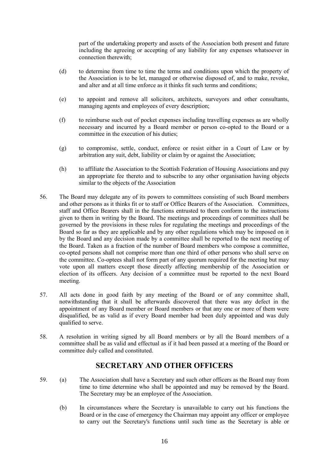part of the undertaking property and assets of the Association both present and future including the agreeing or accepting of any liability for any expenses whatsoever in connection therewith;

- (d) to determine from time to time the terms and conditions upon which the property of the Association is to be let, managed or otherwise disposed of, and to make, revoke, and alter and at all time enforce as it thinks fit such terms and conditions;
- (e) to appoint and remove all solicitors, architects, surveyors and other consultants, managing agents and employees of every description;
- (f) to reimburse such out of pocket expenses including travelling expenses as are wholly necessary and incurred by a Board member or person co-opted to the Board or a committee in the execution of his duties;
- (g) to compromise, settle, conduct, enforce or resist either in a Court of Law or by arbitration any suit, debt, liability or claim by or against the Association;
- (h) to affiliate the Association to the Scottish Federation of Housing Associations and pay an appropriate fee thereto and to subscribe to any other organisation having objects similar to the objects of the Association
- 56. The Board may delegate any of its powers to committees consisting of such Board members and other persons as it thinks fit or to staff or Office Bearers of the Association. Committees, staff and Office Bearers shall in the functions entrusted to them conform to the instructions given to them in writing by the Board. The meetings and proceedings of committees shall be governed by the provisions in these rules for regulating the meetings and proceedings of the Board so far as they are applicable and by any other regulations which may be imposed on it by the Board and any decision made by a committee shall be reported to the next meeting of the Board. Taken as a fraction of the number of Board members who compose a committee, co-opted persons shall not comprise more than one third of other persons who shall serve on the committee. Co-optees shall not form part of any quorum required for the meeting but may vote upon all matters except those directly affecting membership of the Association or election of its officers. Any decision of a committee must be reported to the next Board meeting.
- 57. All acts done in good faith by any meeting of the Board or of any committee shall, notwithstanding that it shall be afterwards discovered that there was any defect in the appointment of any Board member or Board members or that any one or more of them were disqualified, be as valid as if every Board member had been duly appointed and was duly qualified to serve.
- 58. A resolution in writing signed by all Board members or by all the Board members of a committee shall be as valid and effectual as if it had been passed at a meeting of the Board or committee duly called and constituted.

## **SECRETARY AND OTHER OFFICERS**

- 59. (a) The Association shall have a Secretary and such other officers as the Board may from time to time determine who shall be appointed and may be removed by the Board. The Secretary may be an employee of the Association.
	- (b) In circumstances where the Secretary is unavailable to carry out his functions the Board or in the case of emergency the Chairman may appoint any officer or employee to carry out the Secretary's functions until such time as the Secretary is able or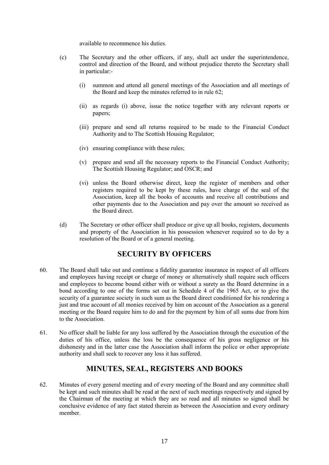available to recommence his duties.

- (c) The Secretary and the other officers, if any, shall act under the superintendence, control and direction of the Board, and without prejudice thereto the Secretary shall in particular:-
	- (i) summon and attend all general meetings of the Association and all meetings of the Board and keep the minutes referred to in rule 62;
	- (ii) as regards (i) above, issue the notice together with any relevant reports or papers;
	- (iii) prepare and send all returns required to be made to the Financial Conduct Authority and to The Scottish Housing Regulator;
	- (iv) ensuring compliance with these rules;
	- (v) prepare and send all the necessary reports to the Financial Conduct Authority; The Scottish Housing Regulator; and OSCR; and
	- (vi) unless the Board otherwise direct, keep the register of members and other registers required to be kept by these rules, have charge of the seal of the Association, keep all the books of accounts and receive all contributions and other payments due to the Association and pay over the amount so received as the Board direct.
- (d) The Secretary or other officer shall produce or give up all books, registers, documents and property of the Association in his possession whenever required so to do by a resolution of the Board or of a general meeting.

## **SECURITY BY OFFICERS**

- 60. The Board shall take out and continue a fidelity guarantee insurance in respect of all officers and employees having receipt or charge of money or alternatively shall require such officers and employees to become bound either with or without a surety as the Board determine in a bond according to one of the forms set out in Schedule 4 of the 1965 Act, or to give the security of a guarantee society in such sum as the Board direct conditioned for his rendering a just and true account of all monies received by him on account of the Association as a general meeting or the Board require him to do and for the payment by him of all sums due from him to the Association.
- 61. No officer shall be liable for any loss suffered by the Association through the execution of the duties of his office, unless the loss be the consequence of his gross negligence or his dishonesty and in the latter case the Association shall inform the police or other appropriate authority and shall seek to recover any loss it has suffered.

#### **MINUTES, SEAL, REGISTERS AND BOOKS**

62. Minutes of every general meeting and of every meeting of the Board and any committee shall be kept and such minutes shall be read at the next of such meetings respectively and signed by the Chairman of the meeting at which they are so read and all minutes so signed shall be conclusive evidence of any fact stated therein as between the Association and every ordinary member.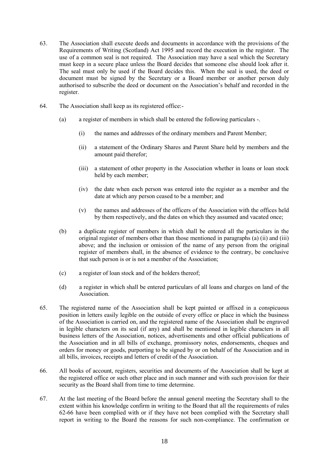- 63. The Association shall execute deeds and documents in accordance with the provisions of the Requirements of Writing (Scotland) Act 1995 and record the execution in the register. The use of a common seal is not required. The Association may have a seal which the Secretary must keep in a secure place unless the Board decides that someone else should look after it. The seal must only be used if the Board decides this. When the seal is used, the deed or document must be signed by the Secretary or a Board member or another person duly authorised to subscribe the deed or document on the Association's behalf and recorded in the register.
- 64. The Association shall keep as its registered office:-
	- (a) a register of members in which shall be entered the following particulars -.
		- (i) the names and addresses of the ordinary members and Parent Member;
		- (ii) a statement of the Ordinary Shares and Parent Share held by members and the amount paid therefor;
		- (iii) a statement of other property in the Association whether in loans or loan stock held by each member;
		- (iv) the date when each person was entered into the register as a member and the date at which any person ceased to be a member; and
		- (v) the names and addresses of the officers of the Association with the offices held by them respectively, and the dates on which they assumed and vacated once;
	- (b) a duplicate register of members in which shall be entered all the particulars in the original register of members other than those mentioned in paragraphs (a) (ii) and (iii) above; and the inclusion or omission of the name of any person from the original register of members shall, in the absence of evidence to the contrary, be conclusive that such person is or is not a member of the Association;
	- (c) a register of loan stock and of the holders thereof;
	- (d) a register in which shall be entered particulars of all loans and charges on land of the **Association**
- 65. The registered name of the Association shall be kept painted or affixed in a conspicuous position in letters easily legible on the outside of every office or place in which the business of the Association is carried on, and the registered name of the Association shall be engraved in legible characters on its seal (if any) and shall be mentioned in legible characters in all business letters of the Association, notices, advertisements and other official publications of the Association and in all bills of exchange, promissory notes, endorsements, cheques and orders for money or goods, purporting to be signed by or on behalf of the Association and in all bills, invoices, receipts and letters of credit of the Association.
- 66. All books of account, registers, securities and documents of the Association shall be kept at the registered office or such other place and in such manner and with such provision for their security as the Board shall from time to time determine.
- 67. At the last meeting of the Board before the annual general meeting the Secretary shall to the extent within his knowledge confirm in writing to the Board that all the requirements of rules 62-66 have been complied with or if they have not been complied with the Secretary shall report in writing to the Board the reasons for such non-compliance. The confirmation or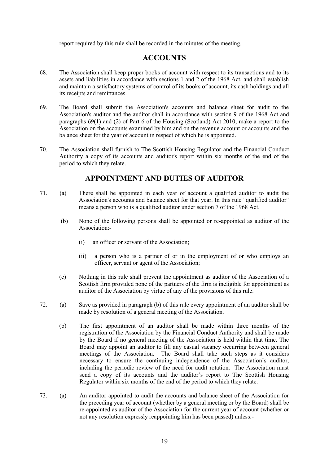report required by this rule shall be recorded in the minutes of the meeting.

## **ACCOUNTS**

- 68. The Association shall keep proper books of account with respect to its transactions and to its assets and liabilities in accordance with sections 1 and 2 of the 1968 Act, and shall establish and maintain a satisfactory systems of control of its books of account, its cash holdings and all its receipts and remittances.
- 69. The Board shall submit the Association's accounts and balance sheet for audit to the Association's auditor and the auditor shall in accordance with section 9 of the 1968 Act and paragraphs 69(1) and (2) of Part 6 of the Housing (Scotland) Act 2010, make a report to the Association on the accounts examined by him and on the revenue account or accounts and the balance sheet for the year of account in respect of which he is appointed.
- 70. The Association shall furnish to The Scottish Housing Regulator and the Financial Conduct Authority a copy of its accounts and auditor's report within six months of the end of the period to which they relate.

## **APPOINTMENT AND DUTIES OF AUDITOR**

- 71. (a) There shall be appointed in each year of account a qualified auditor to audit the Association's accounts and balance sheet for that year. In this rule "qualified auditor" means a person who is a qualified auditor under section 7 of the 1968 Act.
	- (b) None of the following persons shall be appointed or re-appointed as auditor of the Association:-
		- (i) an officer or servant of the Association;
		- (ii) a person who is a partner of or in the employment of or who employs an officer, servant or agent of the Association;
	- (c) Nothing in this rule shall prevent the appointment as auditor of the Association of a Scottish firm provided none of the partners of the firm is ineligible for appointment as auditor of the Association by virtue of any of the provisions of this rule.
- 72. (a) Save as provided in paragraph (b) of this rule every appointment of an auditor shall be made by resolution of a general meeting of the Association.
	- (b) The first appointment of an auditor shall be made within three months of the registration of the Association by the Financial Conduct Authority and shall be made by the Board if no general meeting of the Association is held within that time. The Board may appoint an auditor to fill any casual vacancy occurring between general meetings of the Association. The Board shall take such steps as it considers necessary to ensure the continuing independence of the Association's auditor, including the periodic review of the need for audit rotation. The Association must send a copy of its accounts and the auditor's report to The Scottish Housing Regulator within six months of the end of the period to which they relate.
- 73. (a) An auditor appointed to audit the accounts and balance sheet of the Association for the preceding year of account (whether by a general meeting or by the Board) shall be re-appointed as auditor of the Association for the current year of account (whether or not any resolution expressly reappointing him has been passed) unless:-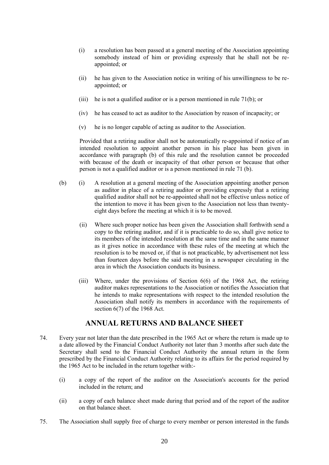- (i) a resolution has been passed at a general meeting of the Association appointing somebody instead of him or providing expressly that he shall not be reappointed; or
- (ii) he has given to the Association notice in writing of his unwillingness to be reappointed; or
- (iii) he is not a qualified auditor or is a person mentioned in rule  $71(b)$ ; or
- (iv) he has ceased to act as auditor to the Association by reason of incapacity; or
- (v) he is no longer capable of acting as auditor to the Association.

Provided that a retiring auditor shall not be automatically re-appointed if notice of an intended resolution to appoint another person in his place has been given in accordance with paragraph (b) of this rule and the resolution cannot be proceeded with because of the death or incapacity of that other person or because that other person is not a qualified auditor or is a person mentioned in rule 71 (b).

- (b) (i) A resolution at a general meeting of the Association appointing another person as auditor in place of a retiring auditor or providing expressly that a retiring qualified auditor shall not be re-appointed shall not be effective unless notice of the intention to move it has been given to the Association not less than twentyeight days before the meeting at which it is to be moved.
	- (ii) Where such proper notice has been given the Association shall forthwith send a copy to the retiring auditor, and if it is practicable to do so, shall give notice to its members of the intended resolution at the same time and in the same manner as it gives notice in accordance with these rules of the meeting at which the resolution is to be moved or, if that is not practicable, by advertisement not less than fourteen days before the said meeting in a newspaper circulating in the area in which the Association conducts its business.
	- (iii) Where, under the provisions of Section 6(6) of the 1968 Act, the retiring auditor makes representations to the Association or notifies the Association that he intends to make representations with respect to the intended resolution the Association shall notify its members in accordance with the requirements of section 6(7) of the 1968 Act.

## **ANNUAL RETURNS AND BALANCE SHEET**

- 74. Every year not later than the date prescribed in the 1965 Act or where the return is made up to a date allowed by the Financial Conduct Authority not later than 3 months after such date the Secretary shall send to the Financial Conduct Authority the annual return in the form prescribed by the Financial Conduct Authority relating to its affairs for the period required by the 1965 Act to be included in the return together with:-
	- (i) a copy of the report of the auditor on the Association's accounts for the period included in the return; and
	- (ii) a copy of each balance sheet made during that period and of the report of the auditor on that balance sheet.
- 75. The Association shall supply free of charge to every member or person interested in the funds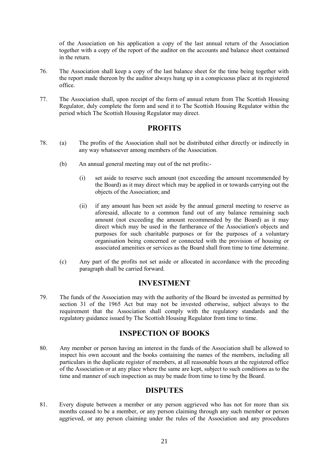of the Association on his application a copy of the last annual return of the Association together with a copy of the report of the auditor on the accounts and balance sheet contained in the return.

- 76. The Association shall keep a copy of the last balance sheet for the time being together with the report made thereon by the auditor always hung up in a conspicuous place at its registered office.
- 77. The Association shall, upon receipt of the form of annual return from The Scottish Housing Regulator, duly complete the form and send it to The Scottish Housing Regulator within the period which The Scottish Housing Regulator may direct.

## **PROFITS**

- 78. (a) The profits of the Association shall not be distributed either directly or indirectly in any way whatsoever among members of the Association.
	- (b) An annual general meeting may out of the net profits:-
		- (i) set aside to reserve such amount (not exceeding the amount recommended by the Board) as it may direct which may be applied in or towards carrying out the objects of the Association; and
		- (ii) if any amount has been set aside by the annual general meeting to reserve as aforesaid, allocate to a common fund out of any balance remaining such amount (not exceeding the amount recommended by the Board) as it may direct which may be used in the furtherance of the Association's objects and purposes for such charitable purposes or for the purposes of a voluntary organisation being concerned or connected with the provision of housing or associated amenities or services as the Board shall from time to time determine.
	- (c) Any part of the profits not set aside or allocated in accordance with the preceding paragraph shall be carried forward.

#### **INVESTMENT**

79. The funds of the Association may with the authority of the Board be invested as permitted by section 31 of the 1965 Act but may not be invested otherwise, subject always to the requirement that the Association shall comply with the regulatory standards and the regulatory guidance issued by The Scottish Housing Regulator from time to time.

## **INSPECTION OF BOOKS**

80. Any member or person having an interest in the funds of the Association shall be allowed to inspect his own account and the books containing the names of the members, including all particulars in the duplicate register of members, at all reasonable hours at the registered office of the Association or at any place where the same are kept, subject to such conditions as to the time and manner of such inspection as may be made from time to time by the Board.

## **DISPUTES**

81. Every dispute between a member or any person aggrieved who has not for more than six months ceased to be a member, or any person claiming through any such member or person aggrieved, or any person claiming under the rules of the Association and any procedures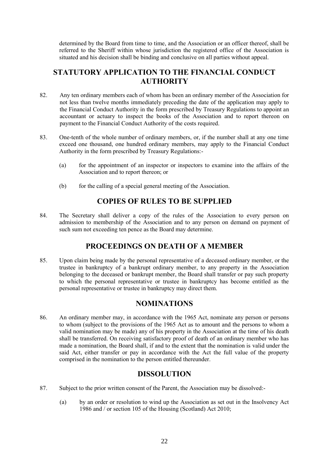determined by the Board from time to time, and the Association or an officer thereof, shall be referred to the Sheriff within whose jurisdiction the registered office of the Association is situated and his decision shall be binding and conclusive on all parties without appeal.

## **STATUTORY APPLICATION TO THE FINANCIAL CONDUCT AUTHORITY**

- 82. Any ten ordinary members each of whom has been an ordinary member of the Association for not less than twelve months immediately preceding the date of the application may apply to the Financial Conduct Authority in the form prescribed by Treasury Regulations to appoint an accountant or actuary to inspect the books of the Association and to report thereon on payment to the Financial Conduct Authority of the costs required.
- 83. One-tenth of the whole number of ordinary members, or, if the number shall at any one time exceed one thousand, one hundred ordinary members, may apply to the Financial Conduct Authority in the form prescribed by Treasury Regulations:-
	- (a) for the appointment of an inspector or inspectors to examine into the affairs of the Association and to report thereon; or
	- (b) for the calling of a special general meeting of the Association.

## **COPIES OF RULES TO BE SUPPLIED**

84. The Secretary shall deliver a copy of the rules of the Association to every person on admission to membership of the Association and to any person on demand on payment of such sum not exceeding ten pence as the Board may determine.

## **PROCEEDINGS ON DEATH OF A MEMBER**

85. Upon claim being made by the personal representative of a deceased ordinary member, or the trustee in bankruptcy of a bankrupt ordinary member, to any property in the Association belonging to the deceased or bankrupt member, the Board shall transfer or pay such property to which the personal representative or trustee in bankruptcy has become entitled as the personal representative or trustee in bankruptcy may direct them.

## **NOMINATIONS**

86. An ordinary member may, in accordance with the 1965 Act, nominate any person or persons to whom (subject to the provisions of the 1965 Act as to amount and the persons to whom a valid nomination may be made) any of his property in the Association at the time of his death shall be transferred. On receiving satisfactory proof of death of an ordinary member who has made a nomination, the Board shall, if and to the extent that the nomination is valid under the said Act, either transfer or pay in accordance with the Act the full value of the property comprised in the nomination to the person entitled thereunder.

## **DISSOLUTION**

- 87. Subject to the prior written consent of the Parent, the Association may be dissolved:-
	- (a) by an order or resolution to wind up the Association as set out in the Insolvency Act 1986 and / or section 105 of the Housing (Scotland) Act 2010;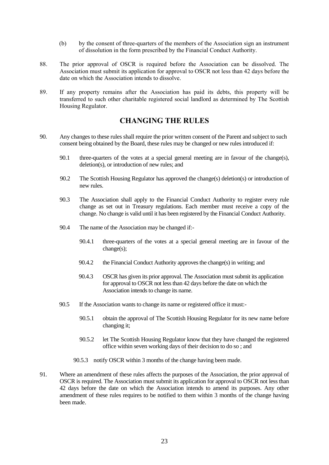- (b) by the consent of three-quarters of the members of the Association sign an instrument of dissolution in the form prescribed by the Financial Conduct Authority.
- 88. The prior approval of OSCR is required before the Association can be dissolved. The Association must submit its application for approval to OSCR not less than 42 days before the date on which the Association intends to dissolve.
- 89. If any property remains after the Association has paid its debts, this property will be transferred to such other charitable registered social landlord as determined by The Scottish Housing Regulator.

## **CHANGING THE RULES**

- 90. Any changes to these rules shall require the prior written consent of the Parent and subject to such consent being obtained by the Board, these rules may be changed or new rules introduced if:
	- 90.1 three-quarters of the votes at a special general meeting are in favour of the change(s), deletion(s), or introduction of new rules; and
	- 90.2 The Scottish Housing Regulator has approved the change(s) deletion(s) or introduction of new rules.
	- 90.3 The Association shall apply to the Financial Conduct Authority to register every rule change as set out in Treasury regulations. Each member must receive a copy of the change. No change is valid until it has been registered by the Financial Conduct Authority.
	- 90.4 The name of the Association may be changed if:-
		- 90.4.1 three-quarters of the votes at a special general meeting are in favour of the change(s);
		- 90.4.2 the Financial Conduct Authority approves the change(s) in writing; and
		- 90.4.3 OSCR has given its prior approval. The Association must submit its application for approval to OSCR not less than 42 days before the date on which the Association intends to change its name.
	- 90.5 If the Association wants to change its name or registered office it must:-
		- 90.5.1 obtain the approval of The Scottish Housing Regulator for its new name before changing it;
		- 90.5.2 let The Scottish Housing Regulator know that they have changed the registered office within seven working days of their decision to do so ; and
		- 90.5.3 notify OSCR within 3 months of the change having been made.
- 91. Where an amendment of these rules affects the purposes of the Association, the prior approval of OSCR is required. The Association must submit its application for approval to OSCR not less than 42 days before the date on which the Association intends to amend its purposes. Any other amendment of these rules requires to be notified to them within 3 months of the change having been made.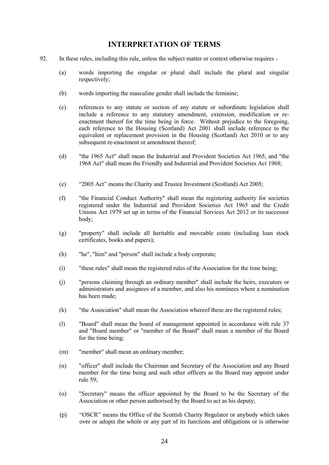#### **INTERPRETATION OF TERMS**

- 92. In these rules, including this rule, unless the subject matter or context otherwise requires
	- (a) words importing the singular or plural shall include the plural and singular respectively;
	- (b) words importing the masculine gender shall include the feminine;
	- (c) references to any statute or section of any statute or subordinate legislation shall include a reference to any statutory amendment, extension, modification or reenactment thereof for the time being in force. Without prejudice to the foregoing, each reference to the Housing (Scotland) Act 2001 shall include reference to the equivalent or replacement provision in the Housing (Scotland) Act 2010 or to any subsequent re-enactment or amendment thereof;
	- (d) "the 1965 Act" shall mean the Industrial and Provident Societies Act 1965, and "the 1968 Act" shall mean the Friendly and Industrial and Provident Societies Act 1968;
	- (e) "2005 Act" means the Charity and Trustee Investment (Scotland) Act 2005;
	- (f) "the Financial Conduct Authority" shall mean the registering authority for societies registered under the Industrial and Provident Societies Act 1965 and the Credit Unions Act 1979 set up in terms of the Financial Services Act 2012 or its successor body;
	- (g) "property" shall include all heritable and moveable estate (including loan stock certificates, books and papers);
	- (h) "he", "him" and "person" shall include a body corporate;
	- (i) "these rules" shall mean the registered rules of the Association for the time being;
	- (j) "persons claiming through an ordinary member" shall include the heirs, executors or administrators and assignees of a member, and also his nominees where a nomination has been made;
	- (k) "the Association" shall mean the Association whereof these are the registered rules;
	- (l) "Board" shall mean the board of management appointed in accordance with rule 37 and "Board member" or "member of the Board" shall mean a member of the Board for the time being;
	- (m) "member" shall mean an ordinary member;
	- (n) "officer" shall include the Chairman and Secretary of the Association and any Board member for the time being and such other officers as the Board may appoint under rule 59;
	- (o) "Secretary" means the officer appointed by the Board to be the Secretary of the Association or other person authorised by the Board to act as his deputy;
	- (p) "OSCR" means the Office of the Scottish Charity Regulator or anybody which takes over or adopts the whole or any part of its functions and obligations or is otherwise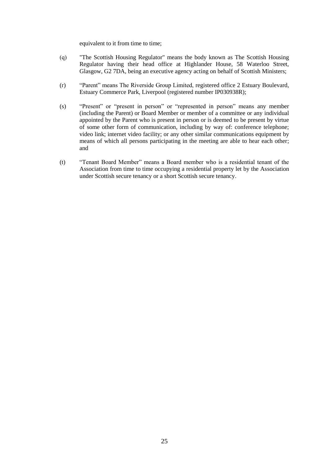equivalent to it from time to time;

- (q) "The Scottish Housing Regulator" means the body known as The Scottish Housing Regulator having their head office at Highlander House, 58 Waterloo Street, Glasgow, G2 7DA, being an executive agency acting on behalf of Scottish Ministers;
- (r) "Parent" means The Riverside Group Limited, registered office 2 Estuary Boulevard, Estuary Commerce Park, Liverpool (registered number IP030938R);
- (s) "Present" or "present in person" or "represented in person" means any member (including the Parent) or Board Member or member of a committee or any individual appointed by the Parent who is present in person or is deemed to be present by virtue of some other form of communication, including by way of: conference telephone; video link; internet video facility; or any other similar communications equipment by means of which all persons participating in the meeting are able to hear each other; and
- (t) "Tenant Board Member" means a Board member who is a residential tenant of the Association from time to time occupying a residential property let by the Association under Scottish secure tenancy or a short Scottish secure tenancy.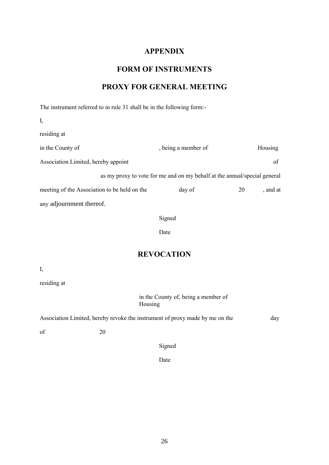## **APPENDIX**

## **FORM OF INSTRUMENTS**

# **PROXY FOR GENERAL MEETING**

The instrument referred to in rule 31 shall be in the following form:-

| I,                                                                        |                     |    |          |
|---------------------------------------------------------------------------|---------------------|----|----------|
| residing at                                                               |                     |    |          |
| in the County of                                                          | , being a member of |    | Housing  |
| Association Limited, hereby appoint                                       |                     |    | of       |
| as my proxy to vote for me and on my behalf at the annual/special general |                     |    |          |
| meeting of the Association to be held on the                              | day of              | 20 | , and at |
| any adjournment thereof.                                                  |                     |    |          |

Signed

Date

## **REVOCATION**

I,

residing at

in the County of, being a member of Housing

Association Limited, hereby revoke the instrument of proxy made by me on the day

of 20

Signed

Date